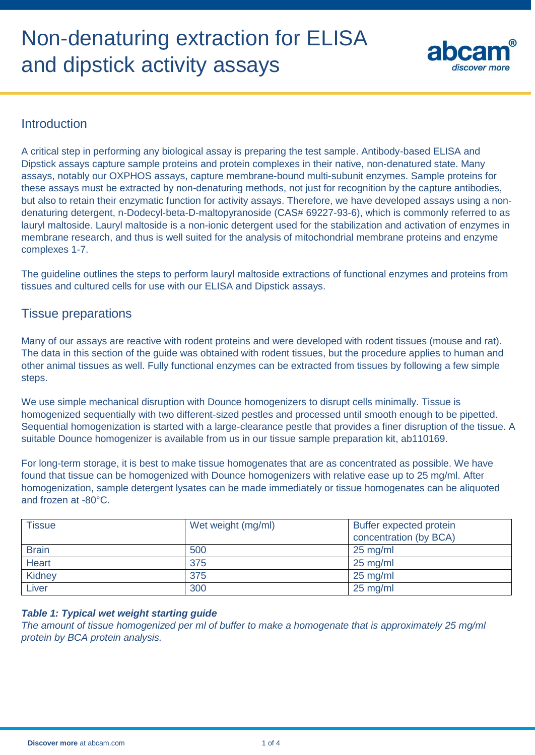# Non-denaturing extraction for ELISA and dipstick activity assays



# **Introduction**

A critical step in performing any biological assay is preparing the test sample. Antibody-based ELISA and Dipstick assays capture sample proteins and protein complexes in their native, non-denatured state. Many assays, notably our OXPHOS assays, capture membrane-bound multi-subunit enzymes. Sample proteins for these assays must be extracted by non-denaturing methods, not just for recognition by the capture antibodies, but also to retain their enzymatic function for activity assays. Therefore, we have developed assays using a nondenaturing detergent, n-Dodecyl-beta-D-maltopyranoside (CAS# 69227-93-6), which is commonly referred to as lauryl maltoside. Lauryl maltoside is a non-ionic detergent used for the stabilization and activation of enzymes in membrane research, and thus is well suited for the analysis of mitochondrial membrane proteins and enzyme complexes 1-7.

The guideline outlines the steps to perform lauryl maltoside extractions of functional enzymes and proteins from tissues and cultured cells for use with our ELISA and Dipstick assays.

# Tissue preparations

Many of our assays are reactive with rodent proteins and were developed with rodent tissues (mouse and rat). The data in this section of the guide was obtained with rodent tissues, but the procedure applies to human and other animal tissues as well. Fully functional enzymes can be extracted from tissues by following a few simple steps.

We use simple mechanical disruption with Dounce homogenizers to disrupt cells minimally. Tissue is homogenized sequentially with two different-sized pestles and processed until smooth enough to be pipetted. Sequential homogenization is started with a large-clearance pestle that provides a finer disruption of the tissue. A suitable Dounce homogenizer is available from us in our tissue sample preparation kit, ab110169.

For long-term storage, it is best to make tissue homogenates that are as concentrated as possible. We have found that tissue can be homogenized with Dounce homogenizers with relative ease up to 25 mg/ml. After homogenization, sample detergent lysates can be made immediately or tissue homogenates can be aliquoted and frozen at -80°C.

| <b>Tissue</b> | Wet weight (mg/ml) | Buffer expected protein<br>concentration (by BCA) |
|---------------|--------------------|---------------------------------------------------|
| <b>Brain</b>  | 500                | $25 \text{ mg/ml}$                                |
| <b>Heart</b>  | 375                | $25 \text{ mg/ml}$                                |
| Kidney        | 375                | $25 \text{ mg/ml}$                                |
| Liver         | 300                | $25$ mg/ml                                        |

### *Table 1: Typical wet weight starting guide*

*The amount of tissue homogenized per ml of buffer to make a homogenate that is approximately 25 mg/ml protein by BCA protein analysis.*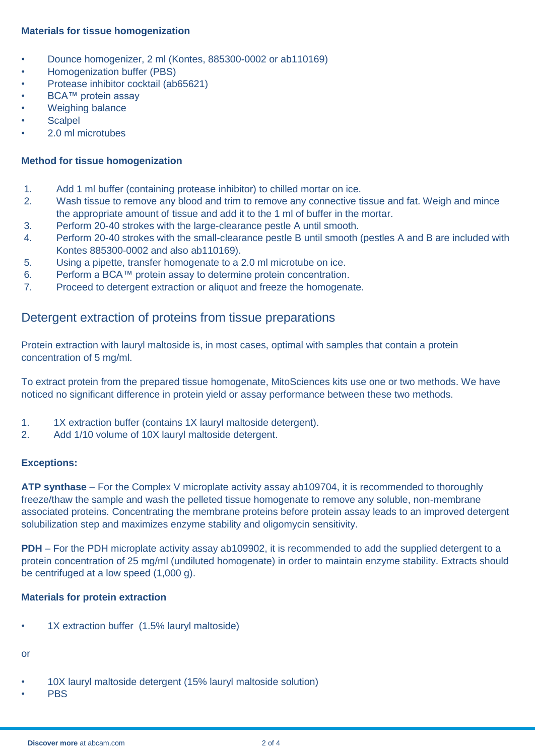## **Materials for tissue homogenization**

- Dounce homogenizer, 2 ml (Kontes, 885300-0002 or ab110169)
- Homogenization buffer (PBS)
- Protease inhibitor cocktail (ab65621)
- **BCA™ protein assay**
- Weighing balance
- **Scalpel**
- 2.0 ml microtubes

## **Method for tissue homogenization**

- 1. Add 1 ml buffer (containing protease inhibitor) to chilled mortar on ice.
- 2. Wash tissue to remove any blood and trim to remove any connective tissue and fat. Weigh and mince the appropriate amount of tissue and add it to the 1 ml of buffer in the mortar.
- 3. Perform 20-40 strokes with the large-clearance pestle A until smooth.
- 4. Perform 20-40 strokes with the small-clearance pestle B until smooth (pestles A and B are included with Kontes 885300-0002 and also ab110169).
- 5. Using a pipette, transfer homogenate to a 2.0 ml microtube on ice.
- 6. Perform a BCA™ protein assay to determine protein concentration.
- 7. Proceed to detergent extraction or aliquot and freeze the homogenate.

# Detergent extraction of proteins from tissue preparations

Protein extraction with lauryl maltoside is, in most cases, optimal with samples that contain a protein concentration of 5 mg/ml.

To extract protein from the prepared tissue homogenate, MitoSciences kits use one or two methods. We have noticed no significant difference in protein yield or assay performance between these two methods.

- 1. 1X extraction buffer (contains 1X lauryl maltoside detergent).
- 2. Add 1/10 volume of 10X lauryl maltoside detergent.

### **Exceptions:**

**ATP synthase** – For the Complex V microplate activity assay ab109704, it is recommended to thoroughly freeze/thaw the sample and wash the pelleted tissue homogenate to remove any soluble, non-membrane associated proteins. Concentrating the membrane proteins before protein assay leads to an improved detergent solubilization step and maximizes enzyme stability and oligomycin sensitivity.

**PDH** – For the PDH microplate activity assay ab109902, it is recommended to add the supplied detergent to a protein concentration of 25 mg/ml (undiluted homogenate) in order to maintain enzyme stability. Extracts should be centrifuged at a low speed (1,000 g).

## **Materials for protein extraction**

• 1X extraction buffer (1.5% lauryl maltoside)

## or

- 10X lauryl maltoside detergent (15% lauryl maltoside solution)
- **PBS**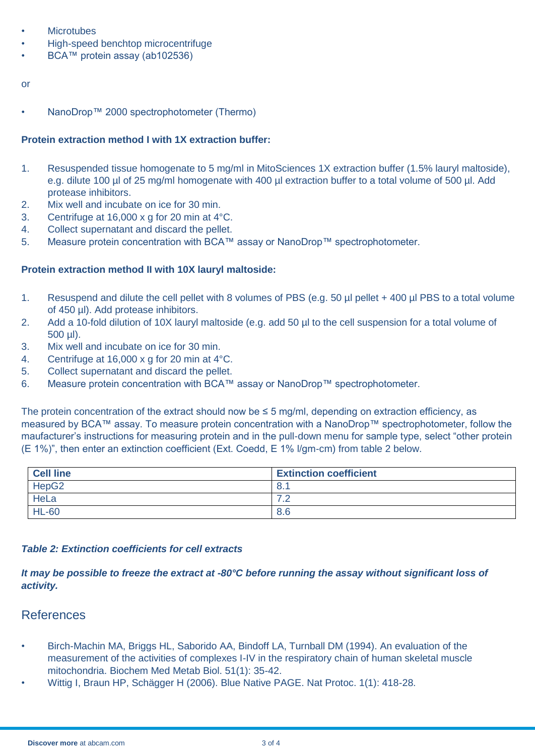- **Microtubes**
- High-speed benchtop microcentrifuge
- BCA<sup>™</sup> protein assay (ab102536)

#### or

NanoDrop™ 2000 spectrophotometer (Thermo)

### **Protein extraction method I with 1X extraction buffer:**

- 1. Resuspended tissue homogenate to 5 mg/ml in MitoSciences 1X extraction buffer (1.5% lauryl maltoside), e.g. dilute 100 µl of 25 mg/ml homogenate with 400 µl extraction buffer to a total volume of 500 µl. Add protease inhibitors.
- 2. Mix well and incubate on ice for 30 min.
- 3. Centrifuge at 16,000 x g for 20 min at 4°C.
- 4. Collect supernatant and discard the pellet.
- 5. Measure protein concentration with BCA™ assay or NanoDrop™ spectrophotometer.

#### **Protein extraction method II with 10X lauryl maltoside:**

- 1. Resuspend and dilute the cell pellet with 8 volumes of PBS (e.g. 50 µl pellet + 400 µl PBS to a total volume of 450 µl). Add protease inhibitors.
- 2. Add a 10-fold dilution of 10X lauryl maltoside (e.g. add 50 µl to the cell suspension for a total volume of 500 µl).
- 3. Mix well and incubate on ice for 30 min.
- 4. Centrifuge at 16,000 x g for 20 min at 4°C.
- 5. Collect supernatant and discard the pellet.
- 6. Measure protein concentration with BCA™ assay or NanoDrop™ spectrophotometer.

The protein concentration of the extract should now be  $\leq$  5 mg/ml, depending on extraction efficiency, as measured by BCA™ assay. To measure protein concentration with a NanoDrop™ spectrophotometer, follow the maufacturer's instructions for measuring protein and in the pull-down menu for sample type, select "other protein (E 1%)", then enter an extinction coefficient (Ext. Coedd, E 1% l/gm-cm) from table 2 below.

| <b>Cell line</b>  | <b>Extinction coefficient</b> |
|-------------------|-------------------------------|
| HepG <sub>2</sub> | 8.1                           |
| HeLa              | ⇁<br>$\overline{\phantom{a}}$ |
| <b>HL-60</b>      | 8.6                           |

#### *Table 2: Extinction coefficients for cell extracts*

*It may be possible to freeze the extract at -80°C before running the assay without significant loss of activity.*

## References

- Birch-Machin MA, Briggs HL, Saborido AA, Bindoff LA, Turnball DM (1994). An evaluation of the measurement of the activities of complexes I-IV in the respiratory chain of human skeletal muscle mitochondria. Biochem Med Metab Biol. 51(1): 35-42.
- Wittig I, Braun HP, Schägger H (2006). Blue Native PAGE. Nat Protoc. 1(1): 418-28.